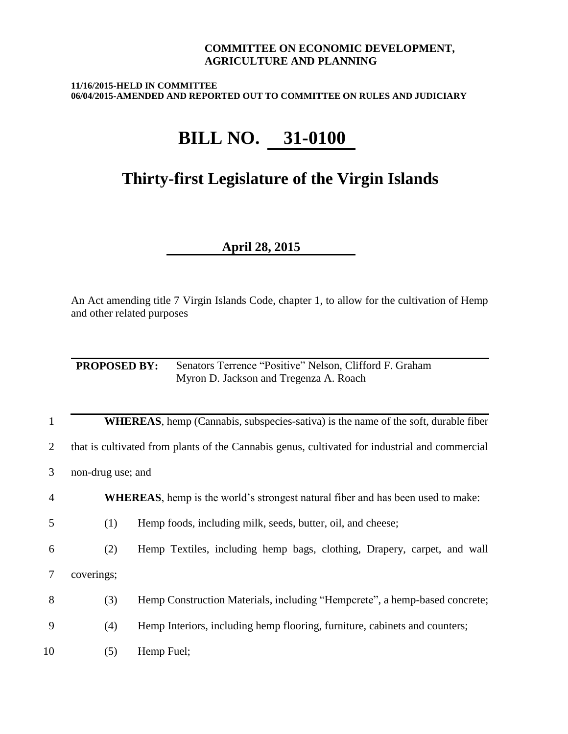#### **COMMITTEE ON ECONOMIC DEVELOPMENT, AGRICULTURE AND PLANNING**

**11/16/2015-HELD IN COMMITTEE 06/04/2015-AMENDED AND REPORTED OUT TO COMMITTEE ON RULES AND JUDICIARY**

# **BILL NO. 31-0100**

## **Thirty-first Legislature of the Virgin Islands**

### **April 28, 2015**

An Act amending title 7 Virgin Islands Code, chapter 1, to allow for the cultivation of Hemp and other related purposes

**PROPOSED BY:** Senators Terrence "Positive" Nelson, Clifford F. Graham Myron D. Jackson and Tregenza A. Roach

|  | <b>WHEREAS</b> , hemp (Cannabis, subspecies-sativa) is the name of the soft, durable fiber |  |  |  |  |  |
|--|--------------------------------------------------------------------------------------------|--|--|--|--|--|
|--|--------------------------------------------------------------------------------------------|--|--|--|--|--|

2 that is cultivated from plants of the Cannabis genus, cultivated for industrial and commercial

3 non-drug use; and

4 **WHEREAS**, hemp is the world's strongest natural fiber and has been used to make:

5 (1) Hemp foods, including milk, seeds, butter, oil, and cheese;

6 (2) Hemp Textiles, including hemp bags, clothing, Drapery, carpet, and wall

7 coverings;

8 (3) Hemp Construction Materials, including "Hempcrete", a hemp-based concrete;

9 (4) Hemp Interiors, including hemp flooring, furniture, cabinets and counters;

10 (5) Hemp Fuel;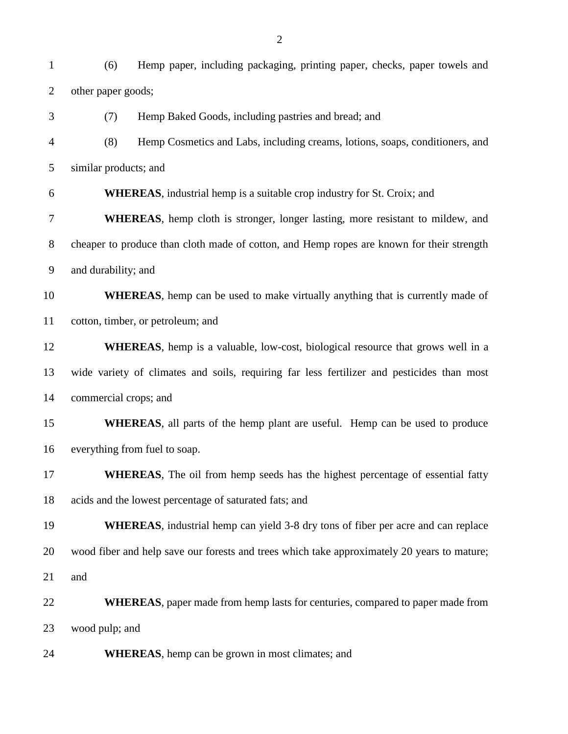(6) Hemp paper, including packaging, printing paper, checks, paper towels and other paper goods; (7) Hemp Baked Goods, including pastries and bread; and (8) Hemp Cosmetics and Labs, including creams, lotions, soaps, conditioners, and similar products; and **WHEREAS**, industrial hemp is a suitable crop industry for St. Croix; and **WHEREAS**, hemp cloth is stronger, longer lasting, more resistant to mildew, and cheaper to produce than cloth made of cotton, and Hemp ropes are known for their strength and durability; and **WHEREAS**, hemp can be used to make virtually anything that is currently made of cotton, timber, or petroleum; and **WHEREAS**, hemp is a valuable, low-cost, biological resource that grows well in a wide variety of climates and soils, requiring far less fertilizer and pesticides than most commercial crops; and **WHEREAS**, all parts of the hemp plant are useful. Hemp can be used to produce everything from fuel to soap. **WHEREAS**, The oil from hemp seeds has the highest percentage of essential fatty acids and the lowest percentage of saturated fats; and **WHEREAS**, industrial hemp can yield 3-8 dry tons of fiber per acre and can replace wood fiber and help save our forests and trees which take approximately 20 years to mature; and **WHEREAS**, paper made from hemp lasts for centuries, compared to paper made from wood pulp; and **WHEREAS**, hemp can be grown in most climates; and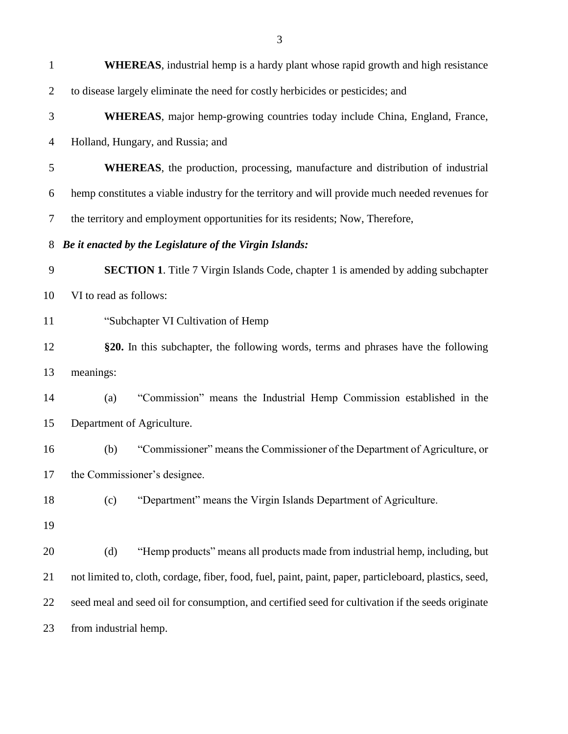| $\mathbf{1}$   | <b>WHEREAS</b> , industrial hemp is a hardy plant whose rapid growth and high resistance               |
|----------------|--------------------------------------------------------------------------------------------------------|
| $\overline{2}$ | to disease largely eliminate the need for costly herbicides or pesticides; and                         |
| 3              | <b>WHEREAS</b> , major hemp-growing countries today include China, England, France,                    |
| $\overline{4}$ | Holland, Hungary, and Russia; and                                                                      |
| 5              | <b>WHEREAS</b> , the production, processing, manufacture and distribution of industrial                |
| 6              | hemp constitutes a viable industry for the territory and will provide much needed revenues for         |
| $\tau$         | the territory and employment opportunities for its residents; Now, Therefore,                          |
| 8              | Be it enacted by the Legislature of the Virgin Islands:                                                |
| 9              | SECTION 1. Title 7 Virgin Islands Code, chapter 1 is amended by adding subchapter                      |
| 10             | VI to read as follows:                                                                                 |
| 11             | "Subchapter VI Cultivation of Hemp                                                                     |
| 12             | §20. In this subchapter, the following words, terms and phrases have the following                     |
| 13             | meanings:                                                                                              |
| 14             | "Commission" means the Industrial Hemp Commission established in the<br>(a)                            |
| 15             | Department of Agriculture.                                                                             |
| 16             | "Commissioner" means the Commissioner of the Department of Agriculture, or<br>(b)                      |
| 17             | the Commissioner's designee.                                                                           |
| 18             | "Department" means the Virgin Islands Department of Agriculture.<br>(c)                                |
| 19             |                                                                                                        |
| 20             | (d)<br>"Hemp products" means all products made from industrial hemp, including, but                    |
| 21             | not limited to, cloth, cordage, fiber, food, fuel, paint, paint, paper, particleboard, plastics, seed, |
| 22             | seed meal and seed oil for consumption, and certified seed for cultivation if the seeds originate      |
| 23             | from industrial hemp.                                                                                  |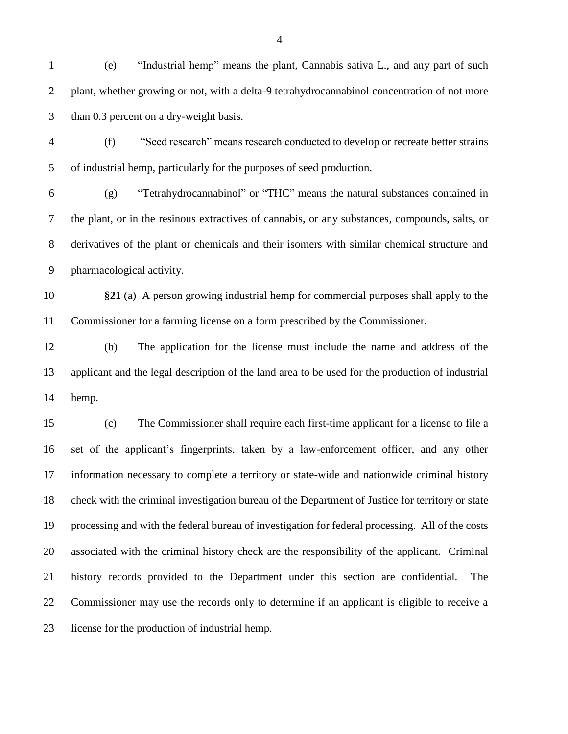- (e) "Industrial hemp" means the plant, Cannabis sativa L., and any part of such plant, whether growing or not, with a delta-9 tetrahydrocannabinol concentration of not more than 0.3 percent on a dry-weight basis.
- (f) "Seed research" means research conducted to develop or recreate better strains of industrial hemp, particularly for the purposes of seed production.

 (g) "Tetrahydrocannabinol" or "THC" means the natural substances contained in the plant, or in the resinous extractives of cannabis, or any substances, compounds, salts, or derivatives of the plant or chemicals and their isomers with similar chemical structure and pharmacological activity.

 **§21** (a) A person growing industrial hemp for commercial purposes shall apply to the Commissioner for a farming license on a form prescribed by the Commissioner.

 (b) The application for the license must include the name and address of the applicant and the legal description of the land area to be used for the production of industrial hemp.

 (c) The Commissioner shall require each first-time applicant for a license to file a set of the applicant's fingerprints, taken by a law-enforcement officer, and any other information necessary to complete a territory or state-wide and nationwide criminal history check with the criminal investigation bureau of the Department of Justice for territory or state processing and with the federal bureau of investigation for federal processing. All of the costs associated with the criminal history check are the responsibility of the applicant. Criminal history records provided to the Department under this section are confidential. The Commissioner may use the records only to determine if an applicant is eligible to receive a license for the production of industrial hemp.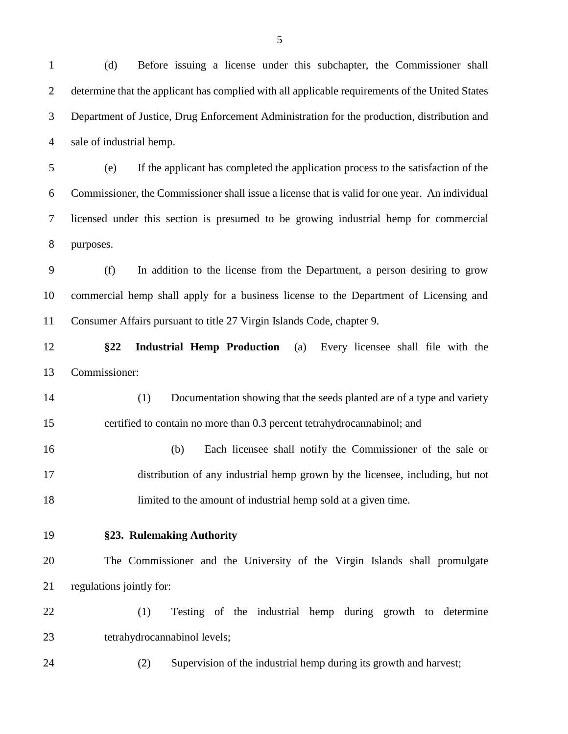(d) Before issuing a license under this subchapter, the Commissioner shall determine that the applicant has complied with all applicable requirements of the United States Department of Justice, Drug Enforcement Administration for the production, distribution and sale of industrial hemp.

 (e) If the applicant has completed the application process to the satisfaction of the Commissioner, the Commissioner shall issue a license that is valid for one year. An individual licensed under this section is presumed to be growing industrial hemp for commercial purposes.

 (f) In addition to the license from the Department, a person desiring to grow commercial hemp shall apply for a business license to the Department of Licensing and Consumer Affairs pursuant to title 27 Virgin Islands Code, chapter 9.

- **§22 Industrial Hemp Production** (a) Every licensee shall file with the Commissioner:
- (1) Documentation showing that the seeds planted are of a type and variety certified to contain no more than 0.3 percent tetrahydrocannabinol; and
- (b) Each licensee shall notify the Commissioner of the sale or distribution of any industrial hemp grown by the licensee, including, but not limited to the amount of industrial hemp sold at a given time.
- 

#### **§23. Rulemaking Authority**

 The Commissioner and the University of the Virgin Islands shall promulgate regulations jointly for:

 (1) Testing of the industrial hemp during growth to determine tetrahydrocannabinol levels;

(2) Supervision of the industrial hemp during its growth and harvest;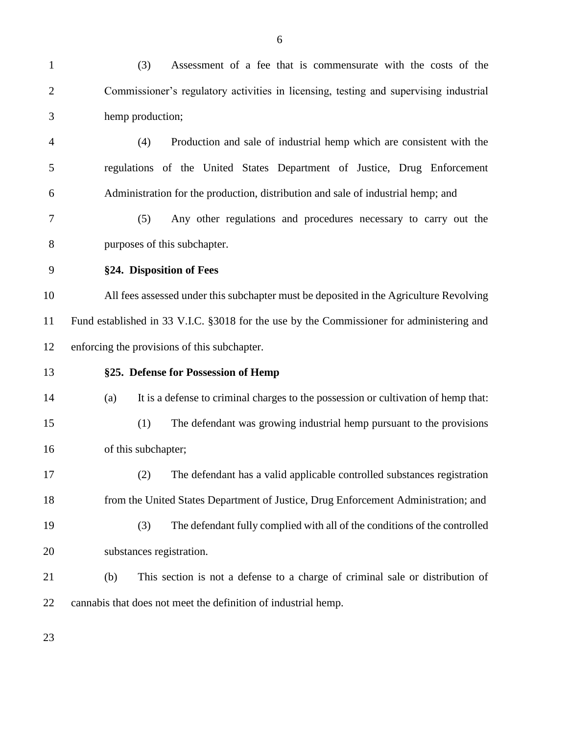| $\mathbf{1}$   | (3)<br>Assessment of a fee that is commensurate with the costs of the                     |
|----------------|-------------------------------------------------------------------------------------------|
| $\overline{2}$ | Commissioner's regulatory activities in licensing, testing and supervising industrial     |
| 3              | hemp production;                                                                          |
| 4              | (4)<br>Production and sale of industrial hemp which are consistent with the               |
| 5              | regulations of the United States Department of Justice, Drug Enforcement                  |
| 6              | Administration for the production, distribution and sale of industrial hemp; and          |
| 7              | Any other regulations and procedures necessary to carry out the<br>(5)                    |
| 8              | purposes of this subchapter.                                                              |
| 9              | §24. Disposition of Fees                                                                  |
| 10             | All fees assessed under this subchapter must be deposited in the Agriculture Revolving    |
| 11             | Fund established in 33 V.I.C. §3018 for the use by the Commissioner for administering and |
| 12             | enforcing the provisions of this subchapter.                                              |
| 13             | §25. Defense for Possession of Hemp                                                       |
| 14             | It is a defense to criminal charges to the possession or cultivation of hemp that:<br>(a) |
| 15             | The defendant was growing industrial hemp pursuant to the provisions<br>(1)               |
| 16             | of this subchapter;                                                                       |
| 17             | (2)<br>The defendant has a valid applicable controlled substances registration            |
| 18             | from the United States Department of Justice, Drug Enforcement Administration; and        |
| 19             | (3)<br>The defendant fully complied with all of the conditions of the controlled          |
| 20             | substances registration.                                                                  |
| 21             | (b)<br>This section is not a defense to a charge of criminal sale or distribution of      |
| 22             | cannabis that does not meet the definition of industrial hemp.                            |
|                |                                                                                           |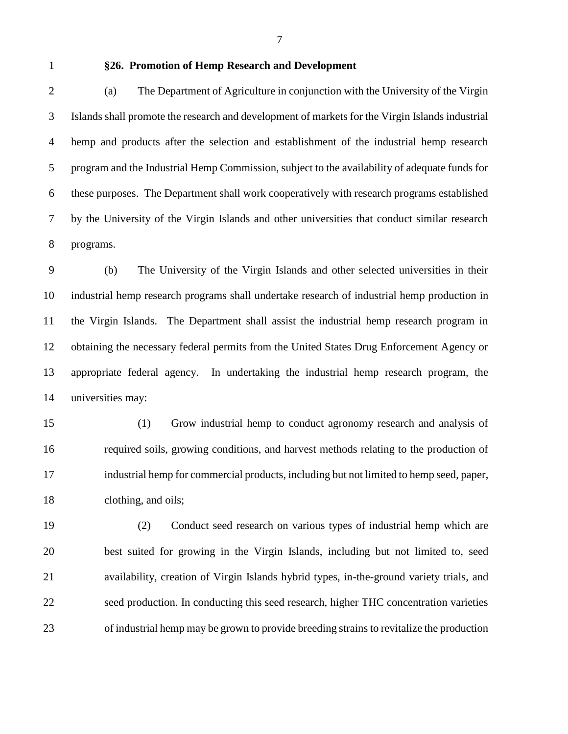#### **§26. Promotion of Hemp Research and Development**

 (a) The Department of Agriculture in conjunction with the University of the Virgin Islands shall promote the research and development of markets for the Virgin Islands industrial hemp and products after the selection and establishment of the industrial hemp research program and the Industrial Hemp Commission, subject to the availability of adequate funds for these purposes. The Department shall work cooperatively with research programs established by the University of the Virgin Islands and other universities that conduct similar research programs.

 (b) The University of the Virgin Islands and other selected universities in their industrial hemp research programs shall undertake research of industrial hemp production in the Virgin Islands. The Department shall assist the industrial hemp research program in obtaining the necessary federal permits from the United States Drug Enforcement Agency or appropriate federal agency. In undertaking the industrial hemp research program, the universities may:

 (1) Grow industrial hemp to conduct agronomy research and analysis of required soils, growing conditions, and harvest methods relating to the production of industrial hemp for commercial products, including but not limited to hemp seed, paper, clothing, and oils;

 (2) Conduct seed research on various types of industrial hemp which are best suited for growing in the Virgin Islands, including but not limited to, seed availability, creation of Virgin Islands hybrid types, in-the-ground variety trials, and seed production. In conducting this seed research, higher THC concentration varieties of industrial hemp may be grown to provide breeding strains to revitalize the production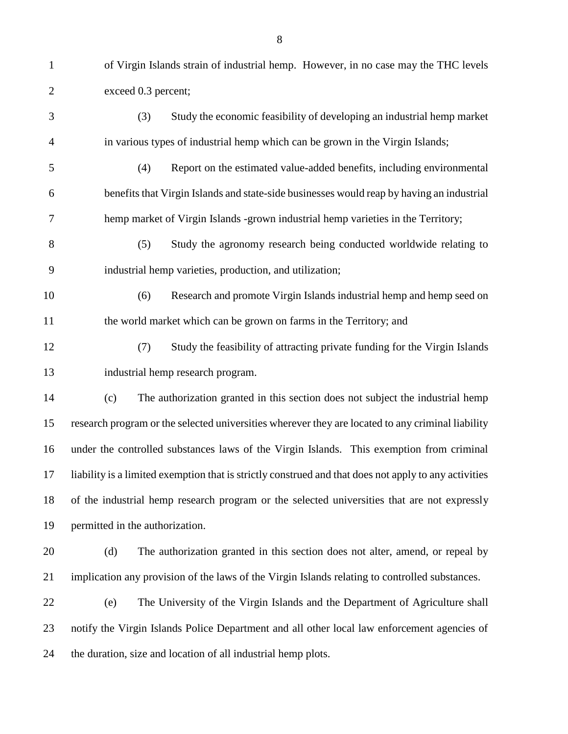exceed 0.3 percent;

- (3) Study the economic feasibility of developing an industrial hemp market in various types of industrial hemp which can be grown in the Virgin Islands; (4) Report on the estimated value-added benefits, including environmental benefits that Virgin Islands and state-side businesses would reap by having an industrial hemp market of Virgin Islands -grown industrial hemp varieties in the Territory; (5) Study the agronomy research being conducted worldwide relating to industrial hemp varieties, production, and utilization; (6) Research and promote Virgin Islands industrial hemp and hemp seed on 11 the world market which can be grown on farms in the Territory; and (7) Study the feasibility of attracting private funding for the Virgin Islands industrial hemp research program. (c) The authorization granted in this section does not subject the industrial hemp research program or the selected universities wherever they are located to any criminal liability under the controlled substances laws of the Virgin Islands. This exemption from criminal liability is a limited exemption that is strictly construed and that does not apply to any activities of the industrial hemp research program or the selected universities that are not expressly permitted in the authorization. (d) The authorization granted in this section does not alter, amend, or repeal by implication any provision of the laws of the Virgin Islands relating to controlled substances. (e) The University of the Virgin Islands and the Department of Agriculture shall notify the Virgin Islands Police Department and all other local law enforcement agencies of
- the duration, size and location of all industrial hemp plots.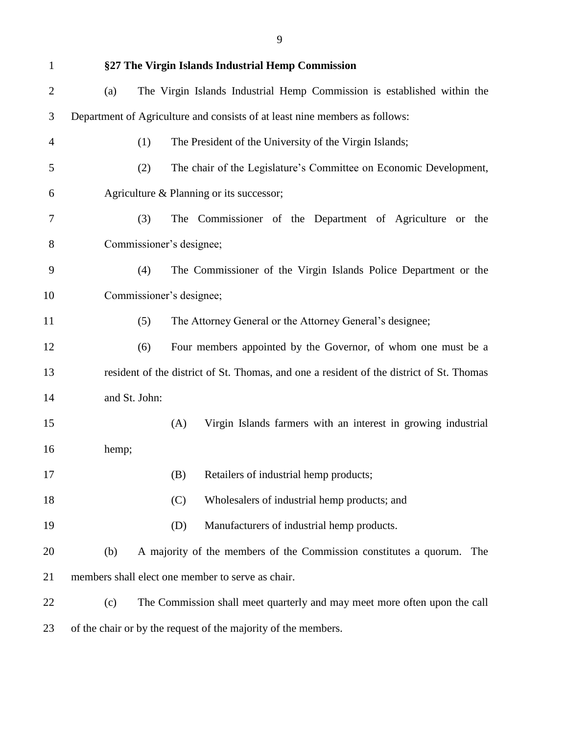| $\mathbf{1}$   |                          |     | §27 The Virgin Islands Industrial Hemp Commission                                        |
|----------------|--------------------------|-----|------------------------------------------------------------------------------------------|
| 2              | (a)                      |     | The Virgin Islands Industrial Hemp Commission is established within the                  |
| 3              |                          |     | Department of Agriculture and consists of at least nine members as follows:              |
| $\overline{4}$ | (1)                      |     | The President of the University of the Virgin Islands;                                   |
| 5              | (2)                      |     | The chair of the Legislature's Committee on Economic Development,                        |
| 6              |                          |     | Agriculture & Planning or its successor;                                                 |
| 7              | (3)                      |     | The Commissioner of the Department of Agriculture or the                                 |
| 8              | Commissioner's designee; |     |                                                                                          |
| 9              | (4)                      |     | The Commissioner of the Virgin Islands Police Department or the                          |
| 10             | Commissioner's designee; |     |                                                                                          |
| 11             | (5)                      |     | The Attorney General or the Attorney General's designee;                                 |
| 12             | (6)                      |     | Four members appointed by the Governor, of whom one must be a                            |
| 13             |                          |     | resident of the district of St. Thomas, and one a resident of the district of St. Thomas |
| 14             | and St. John:            |     |                                                                                          |
| 15             |                          | (A) | Virgin Islands farmers with an interest in growing industrial                            |
| 16             | hemp;                    |     |                                                                                          |
| 17             |                          | (B) | Retailers of industrial hemp products;                                                   |
| 18             |                          | (C) | Wholesalers of industrial hemp products; and                                             |
| 19             |                          | (D) | Manufacturers of industrial hemp products.                                               |
| 20             | (b)                      |     | A majority of the members of the Commission constitutes a quorum.<br>The                 |
| 21             |                          |     | members shall elect one member to serve as chair.                                        |
| 22             | (c)                      |     | The Commission shall meet quarterly and may meet more often upon the call                |
| 23             |                          |     | of the chair or by the request of the majority of the members.                           |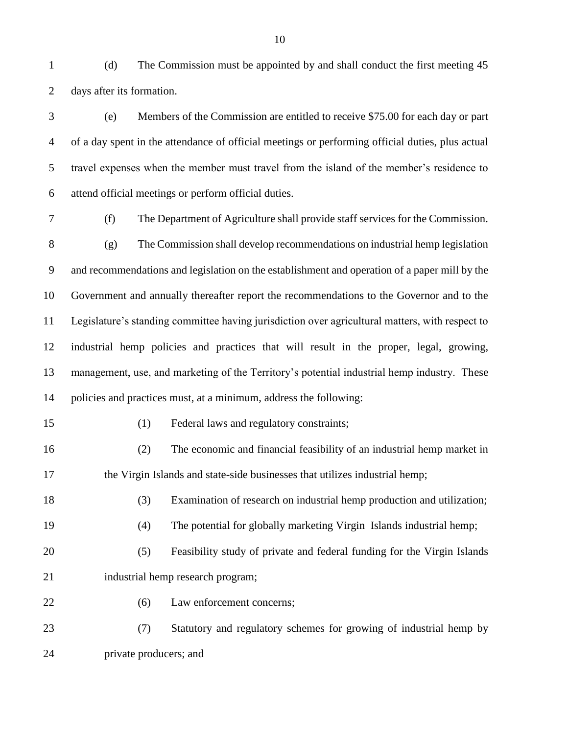(d) The Commission must be appointed by and shall conduct the first meeting 45 days after its formation.

 (e) Members of the Commission are entitled to receive \$75.00 for each day or part of a day spent in the attendance of official meetings or performing official duties, plus actual travel expenses when the member must travel from the island of the member's residence to attend official meetings or perform official duties.

 (f) The Department of Agriculture shall provide staff services for the Commission. (g) The Commission shall develop recommendations on industrial hemp legislation and recommendations and legislation on the establishment and operation of a paper mill by the Government and annually thereafter report the recommendations to the Governor and to the Legislature's standing committee having jurisdiction over agricultural matters, with respect to industrial hemp policies and practices that will result in the proper, legal, growing, management, use, and marketing of the Territory's potential industrial hemp industry. These policies and practices must, at a minimum, address the following:

(1) Federal laws and regulatory constraints;

 (2) The economic and financial feasibility of an industrial hemp market in the Virgin Islands and state-side businesses that utilizes industrial hemp;

- (3) Examination of research on industrial hemp production and utilization;
- (4) The potential for globally marketing Virgin Islands industrial hemp;
- (5) Feasibility study of private and federal funding for the Virgin Islands 21 industrial hemp research program;
- (6) Law enforcement concerns;
- (7) Statutory and regulatory schemes for growing of industrial hemp by private producers; and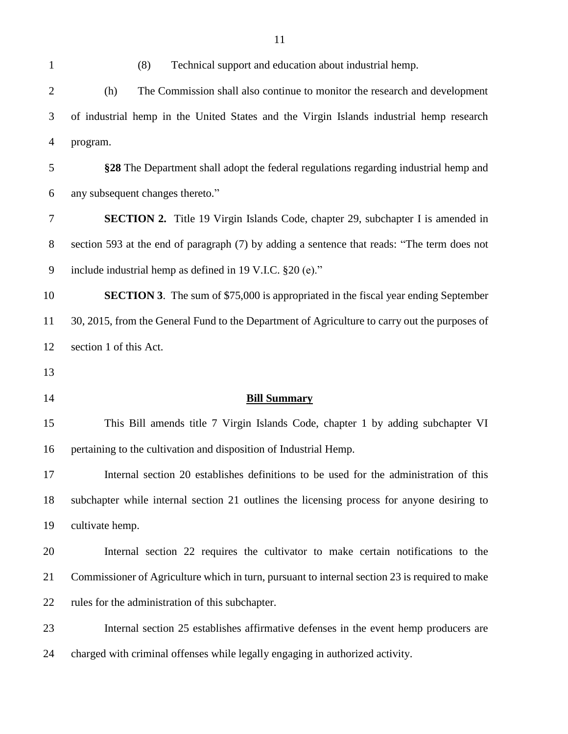| $\mathbf{1}$   | (8)<br>Technical support and education about industrial hemp.                                  |
|----------------|------------------------------------------------------------------------------------------------|
| $\overline{2}$ | The Commission shall also continue to monitor the research and development<br>(h)              |
| 3              | of industrial hemp in the United States and the Virgin Islands industrial hemp research        |
| $\overline{4}$ | program.                                                                                       |
| 5              | §28 The Department shall adopt the federal regulations regarding industrial hemp and           |
| 6              | any subsequent changes thereto."                                                               |
| 7              | <b>SECTION 2.</b> Title 19 Virgin Islands Code, chapter 29, subchapter I is amended in         |
| $8\phantom{1}$ | section 593 at the end of paragraph (7) by adding a sentence that reads: "The term does not    |
| 9              | include industrial hemp as defined in 19 V.I.C. §20 (e)."                                      |
| 10             | <b>SECTION 3.</b> The sum of \$75,000 is appropriated in the fiscal year ending September      |
| 11             | 30, 2015, from the General Fund to the Department of Agriculture to carry out the purposes of  |
| 12             | section 1 of this Act.                                                                         |
|                |                                                                                                |
|                |                                                                                                |
| 13<br>14       | <b>Bill Summary</b>                                                                            |
| 15             | This Bill amends title 7 Virgin Islands Code, chapter 1 by adding subchapter VI                |
| 16             | pertaining to the cultivation and disposition of Industrial Hemp.                              |
| 17             | Internal section 20 establishes definitions to be used for the administration of this          |
| 18             | subchapter while internal section 21 outlines the licensing process for anyone desiring to     |
| 19             | cultivate hemp.                                                                                |
| 20             | Internal section 22 requires the cultivator to make certain notifications to the               |
| 21             | Commissioner of Agriculture which in turn, pursuant to internal section 23 is required to make |
| 22             | rules for the administration of this subchapter.                                               |
| 23             | Internal section 25 establishes affirmative defenses in the event hemp producers are           |